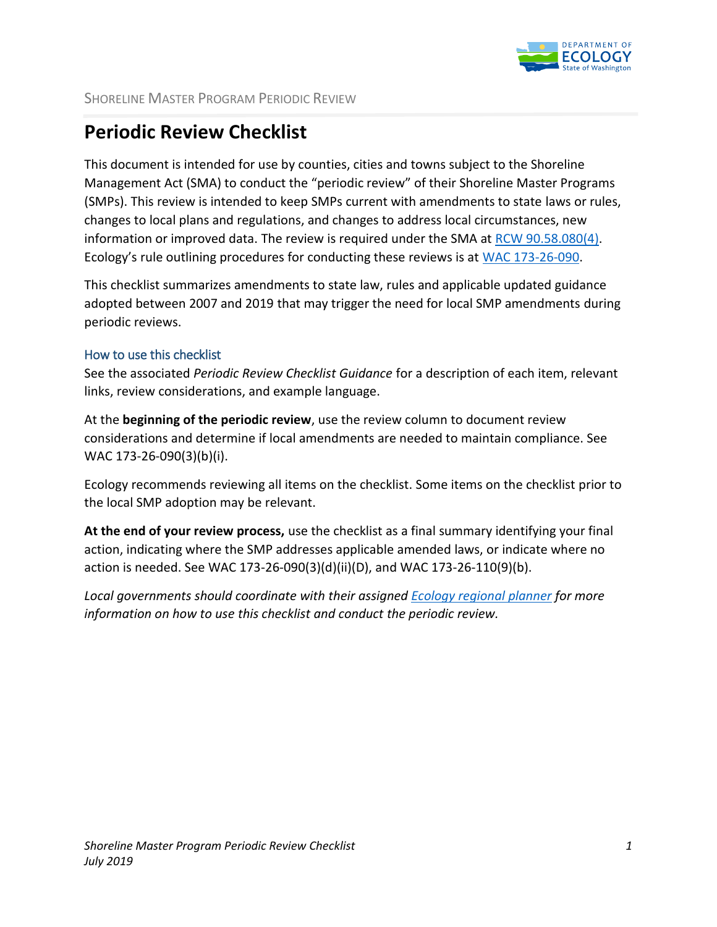

## **Periodic Review Checklist**

This document is intended for use by counties, cities and towns subject to the Shoreline Management Act (SMA) to conduct the "periodic review" of their Shoreline Master Programs (SMPs). This review is intended to keep SMPs current with amendments to state laws or rules, changes to local plans and regulations, and changes to address local circumstances, new information or improved data. The review is required under the SMA at [RCW 90.58.080\(4\).](http://app.leg.wa.gov/RCW/default.aspx?cite=90.58.080) Ecology's rule outlining procedures for conducting these reviews is at [WAC 173-26-090.](http://apps.leg.wa.gov/wac/default.aspx?cite=173-26-090)

This checklist summarizes amendments to state law, rules and applicable updated guidance adopted between 2007 and 2019 that may trigger the need for local SMP amendments during periodic reviews.

## How to use this checklist

See the associated *Periodic Review Checklist Guidance* for a description of each item, relevant links, review considerations, and example language.

At the **beginning of the periodic review**, use the review column to document review considerations and determine if local amendments are needed to maintain compliance. See WAC 173-26-090(3)(b)(i).

Ecology recommends reviewing all items on the checklist. Some items on the checklist prior to the local SMP adoption may be relevant.

**At the end of your review process,** use the checklist as a final summary identifying your final action, indicating where the SMP addresses applicable amended laws, or indicate where no action is needed. See WAC 173-26-090(3)(d)(ii)(D), and WAC 173-26-110(9)(b).

*Local governments should coordinate with their assigned [Ecology regional planner](https://ecology.wa.gov/Water-Shorelines/Shoreline-coastal-management/Shoreline-coastal-planning/Contacts) for more information on how to use this checklist and conduct the periodic review.*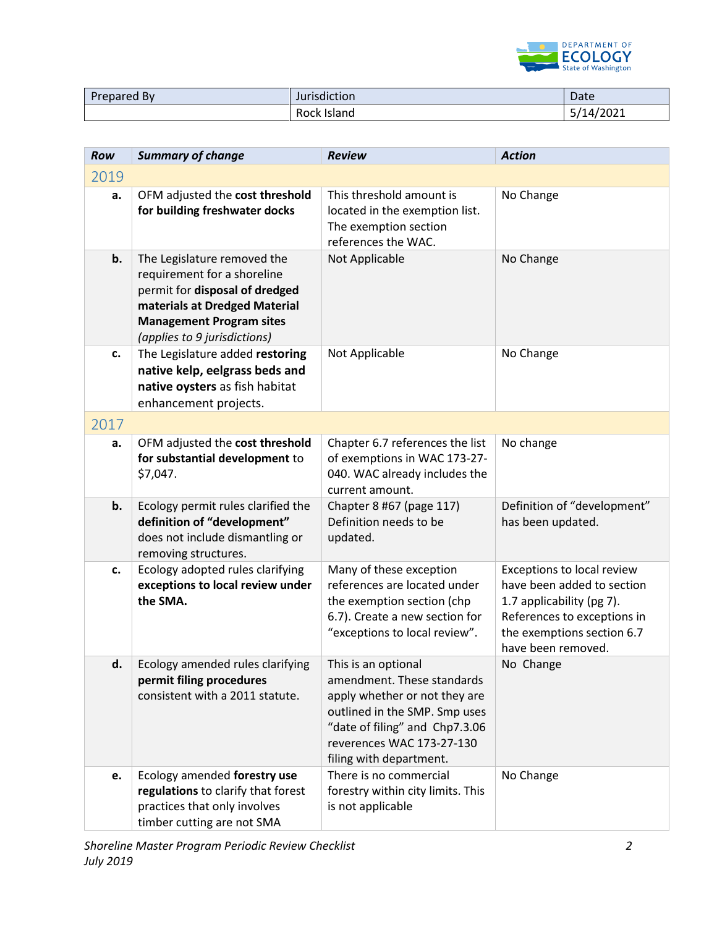

| Prepared By | Jurisdiction | Date      |
|-------------|--------------|-----------|
|             | Rock Island  | 5/14/2021 |

| Row  | <b>Summary of change</b>                                                                                                                                                                         | <b>Review</b>                                                                                                                                                                                                 | <b>Action</b>                                                                                                                                                            |
|------|--------------------------------------------------------------------------------------------------------------------------------------------------------------------------------------------------|---------------------------------------------------------------------------------------------------------------------------------------------------------------------------------------------------------------|--------------------------------------------------------------------------------------------------------------------------------------------------------------------------|
| 2019 |                                                                                                                                                                                                  |                                                                                                                                                                                                               |                                                                                                                                                                          |
| a.   | OFM adjusted the cost threshold<br>for building freshwater docks                                                                                                                                 | This threshold amount is<br>located in the exemption list.<br>The exemption section<br>references the WAC.                                                                                                    | No Change                                                                                                                                                                |
| b.   | The Legislature removed the<br>requirement for a shoreline<br>permit for disposal of dredged<br>materials at Dredged Material<br><b>Management Program sites</b><br>(applies to 9 jurisdictions) | Not Applicable                                                                                                                                                                                                | No Change                                                                                                                                                                |
| c.   | The Legislature added restoring<br>native kelp, eelgrass beds and<br>native oysters as fish habitat<br>enhancement projects.                                                                     | Not Applicable                                                                                                                                                                                                | No Change                                                                                                                                                                |
| 2017 |                                                                                                                                                                                                  |                                                                                                                                                                                                               |                                                                                                                                                                          |
| a.   | OFM adjusted the cost threshold<br>for substantial development to<br>\$7,047.                                                                                                                    | Chapter 6.7 references the list<br>of exemptions in WAC 173-27-<br>040. WAC already includes the<br>current amount.                                                                                           | No change                                                                                                                                                                |
| b.   | Ecology permit rules clarified the<br>definition of "development"<br>does not include dismantling or<br>removing structures.                                                                     | Chapter 8 #67 (page 117)<br>Definition needs to be<br>updated.                                                                                                                                                | Definition of "development"<br>has been updated.                                                                                                                         |
| c.   | Ecology adopted rules clarifying<br>exceptions to local review under<br>the SMA.                                                                                                                 | Many of these exception<br>references are located under<br>the exemption section (chp<br>6.7). Create a new section for<br>"exceptions to local review".                                                      | Exceptions to local review<br>have been added to section<br>1.7 applicability (pg 7).<br>References to exceptions in<br>the exemptions section 6.7<br>have been removed. |
| d.   | Ecology amended rules clarifying<br>permit filing procedures<br>consistent with a 2011 statute.                                                                                                  | This is an optional<br>amendment. These standards<br>apply whether or not they are<br>outlined in the SMP. Smp uses<br>"date of filing" and Chp7.3.06<br>reverences WAC 173-27-130<br>filing with department. | No Change                                                                                                                                                                |
| e.   | Ecology amended forestry use<br>regulations to clarify that forest<br>practices that only involves<br>timber cutting are not SMA                                                                 | There is no commercial<br>forestry within city limits. This<br>is not applicable                                                                                                                              | No Change                                                                                                                                                                |

*Shoreline Master Program Periodic Review Checklist 2 July 2019*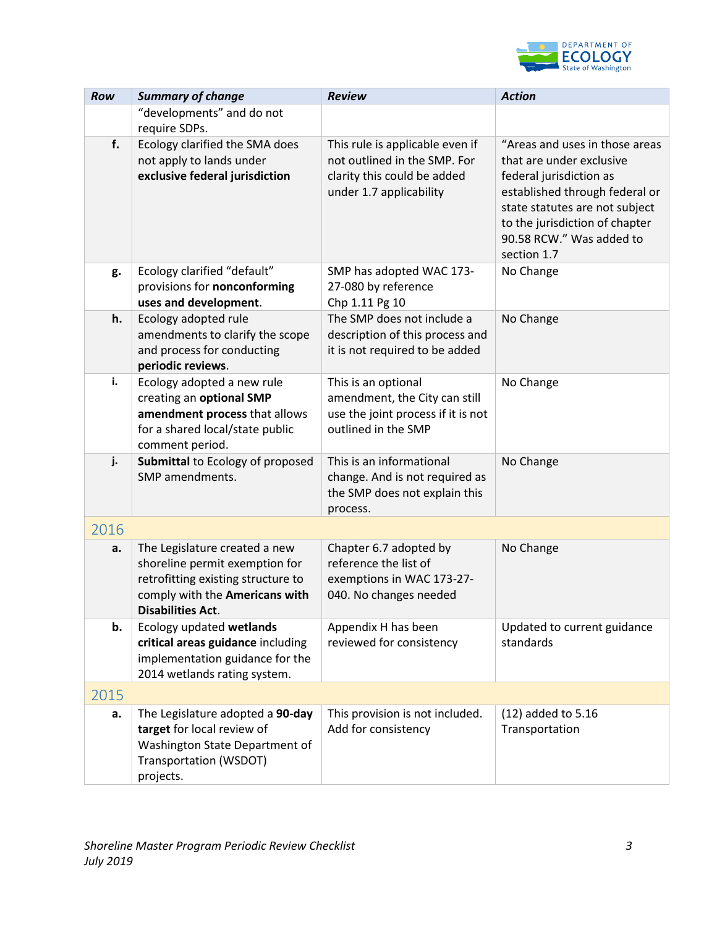

| Row  | <b>Summary of change</b>                                                                                                                                            | <b>Review</b>                                                                                                             | <b>Action</b>                                                                                                                                                                                                                          |
|------|---------------------------------------------------------------------------------------------------------------------------------------------------------------------|---------------------------------------------------------------------------------------------------------------------------|----------------------------------------------------------------------------------------------------------------------------------------------------------------------------------------------------------------------------------------|
|      | "developments" and do not<br>require SDPs.                                                                                                                          |                                                                                                                           |                                                                                                                                                                                                                                        |
| f.   | Ecology clarified the SMA does<br>not apply to lands under<br>exclusive federal jurisdiction                                                                        | This rule is applicable even if<br>not outlined in the SMP. For<br>clarity this could be added<br>under 1.7 applicability | "Areas and uses in those areas<br>that are under exclusive<br>federal jurisdiction as<br>established through federal or<br>state statutes are not subject<br>to the jurisdiction of chapter<br>90.58 RCW." Was added to<br>section 1.7 |
| g.   | Ecology clarified "default"<br>provisions for nonconforming<br>uses and development.                                                                                | SMP has adopted WAC 173-<br>27-080 by reference<br>Chp 1.11 Pg 10                                                         | No Change                                                                                                                                                                                                                              |
| h.   | Ecology adopted rule<br>amendments to clarify the scope<br>and process for conducting<br>periodic reviews.                                                          | The SMP does not include a<br>description of this process and<br>it is not required to be added                           | No Change                                                                                                                                                                                                                              |
| i.   | Ecology adopted a new rule<br>creating an optional SMP<br>amendment process that allows<br>for a shared local/state public<br>comment period.                       | This is an optional<br>amendment, the City can still<br>use the joint process if it is not<br>outlined in the SMP         | No Change                                                                                                                                                                                                                              |
| j.   | Submittal to Ecology of proposed<br>SMP amendments.                                                                                                                 | This is an informational<br>change. And is not required as<br>the SMP does not explain this<br>process.                   | No Change                                                                                                                                                                                                                              |
| 2016 |                                                                                                                                                                     |                                                                                                                           |                                                                                                                                                                                                                                        |
| a.   | The Legislature created a new<br>shoreline permit exemption for<br>retrofitting existing structure to<br>comply with the Americans with<br><b>Disabilities Act.</b> | Chapter 6.7 adopted by<br>reference the list of<br>exemptions in WAC 173-27-<br>040. No changes needed                    | No Change                                                                                                                                                                                                                              |
| b.   | Ecology updated wetlands<br>critical areas guidance including<br>implementation guidance for the<br>2014 wetlands rating system.                                    | Appendix H has been<br>reviewed for consistency                                                                           | Updated to current guidance<br>standards                                                                                                                                                                                               |
| 2015 |                                                                                                                                                                     |                                                                                                                           |                                                                                                                                                                                                                                        |
| a.   | The Legislature adopted a 90-day<br>target for local review of<br>Washington State Department of<br>Transportation (WSDOT)<br>projects.                             | This provision is not included.<br>Add for consistency                                                                    | (12) added to 5.16<br>Transportation                                                                                                                                                                                                   |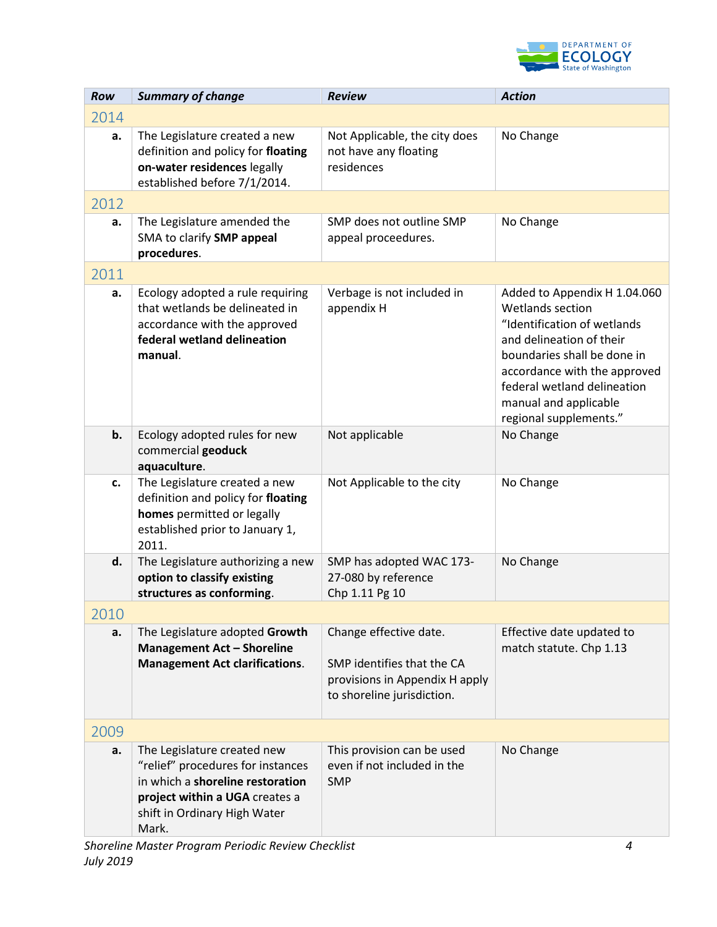

| Row  | <b>Summary of change</b>                                                                                                                                                        | <b>Review</b>                                                                                                        | <b>Action</b>                                                                                                                                                                                                                                                |
|------|---------------------------------------------------------------------------------------------------------------------------------------------------------------------------------|----------------------------------------------------------------------------------------------------------------------|--------------------------------------------------------------------------------------------------------------------------------------------------------------------------------------------------------------------------------------------------------------|
| 2014 |                                                                                                                                                                                 |                                                                                                                      |                                                                                                                                                                                                                                                              |
| a.   | The Legislature created a new<br>definition and policy for floating<br>on-water residences legally<br>established before 7/1/2014.                                              | Not Applicable, the city does<br>not have any floating<br>residences                                                 | No Change                                                                                                                                                                                                                                                    |
| 2012 |                                                                                                                                                                                 |                                                                                                                      |                                                                                                                                                                                                                                                              |
| a.   | The Legislature amended the<br>SMA to clarify SMP appeal<br>procedures.                                                                                                         | SMP does not outline SMP<br>appeal proceedures.                                                                      | No Change                                                                                                                                                                                                                                                    |
| 2011 |                                                                                                                                                                                 |                                                                                                                      |                                                                                                                                                                                                                                                              |
| a.   | Ecology adopted a rule requiring<br>that wetlands be delineated in<br>accordance with the approved<br>federal wetland delineation<br>manual.                                    | Verbage is not included in<br>appendix H                                                                             | Added to Appendix H 1.04.060<br>Wetlands section<br>"Identification of wetlands<br>and delineation of their<br>boundaries shall be done in<br>accordance with the approved<br>federal wetland delineation<br>manual and applicable<br>regional supplements." |
| b.   | Ecology adopted rules for new<br>commercial geoduck<br>aquaculture.                                                                                                             | Not applicable                                                                                                       | No Change                                                                                                                                                                                                                                                    |
| c.   | The Legislature created a new<br>definition and policy for floating<br>homes permitted or legally<br>established prior to January 1,<br>2011.                                   | Not Applicable to the city                                                                                           | No Change                                                                                                                                                                                                                                                    |
| d.   | The Legislature authorizing a new<br>option to classify existing<br>structures as conforming.                                                                                   | SMP has adopted WAC 173-<br>27-080 by reference<br>Chp 1.11 Pg 10                                                    | No Change                                                                                                                                                                                                                                                    |
| 2010 |                                                                                                                                                                                 |                                                                                                                      |                                                                                                                                                                                                                                                              |
| a.   | The Legislature adopted Growth<br><b>Management Act - Shoreline</b><br><b>Management Act clarifications.</b>                                                                    | Change effective date.<br>SMP identifies that the CA<br>provisions in Appendix H apply<br>to shoreline jurisdiction. | Effective date updated to<br>match statute. Chp 1.13                                                                                                                                                                                                         |
| 2009 |                                                                                                                                                                                 |                                                                                                                      |                                                                                                                                                                                                                                                              |
| a.   | The Legislature created new<br>"relief" procedures for instances<br>in which a shoreline restoration<br>project within a UGA creates a<br>shift in Ordinary High Water<br>Mark. | This provision can be used<br>even if not included in the<br><b>SMP</b>                                              | No Change                                                                                                                                                                                                                                                    |

*Shoreline Master Program Periodic Review Checklist 4 July 2019*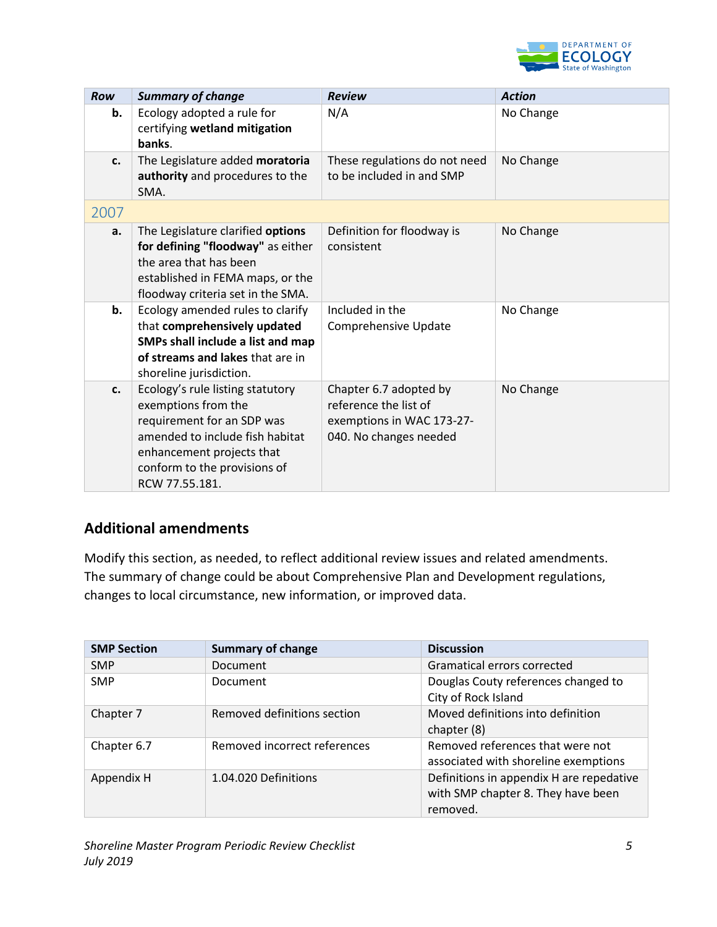

| Row  | <b>Summary of change</b>                                                                                                                                                                                | <b>Review</b>                                                                                          | <b>Action</b> |
|------|---------------------------------------------------------------------------------------------------------------------------------------------------------------------------------------------------------|--------------------------------------------------------------------------------------------------------|---------------|
| b.   | Ecology adopted a rule for<br>certifying wetland mitigation<br>banks.                                                                                                                                   | N/A                                                                                                    | No Change     |
| c.   | The Legislature added moratoria<br>authority and procedures to the<br>SMA.                                                                                                                              | These regulations do not need<br>to be included in and SMP                                             | No Change     |
| 2007 |                                                                                                                                                                                                         |                                                                                                        |               |
| a.   | The Legislature clarified options<br>for defining "floodway" as either<br>the area that has been<br>established in FEMA maps, or the<br>floodway criteria set in the SMA.                               | Definition for floodway is<br>consistent                                                               | No Change     |
| b.   | Ecology amended rules to clarify<br>that comprehensively updated<br>SMPs shall include a list and map<br>of streams and lakes that are in<br>shoreline jurisdiction.                                    | Included in the<br>Comprehensive Update                                                                | No Change     |
| c.   | Ecology's rule listing statutory<br>exemptions from the<br>requirement for an SDP was<br>amended to include fish habitat<br>enhancement projects that<br>conform to the provisions of<br>RCW 77.55.181. | Chapter 6.7 adopted by<br>reference the list of<br>exemptions in WAC 173-27-<br>040. No changes needed | No Change     |

## **Additional amendments**

Modify this section, as needed, to reflect additional review issues and related amendments. The summary of change could be about Comprehensive Plan and Development regulations, changes to local circumstance, new information, or improved data.

| <b>SMP Section</b> | <b>Summary of change</b>     | <b>Discussion</b>                                                                          |
|--------------------|------------------------------|--------------------------------------------------------------------------------------------|
| <b>SMP</b>         | <b>Document</b>              | Gramatical errors corrected                                                                |
| <b>SMP</b>         | Document                     | Douglas Couty references changed to<br>City of Rock Island                                 |
| Chapter 7          | Removed definitions section  | Moved definitions into definition<br>chapter (8)                                           |
| Chapter 6.7        | Removed incorrect references | Removed references that were not<br>associated with shoreline exemptions                   |
| Appendix H         | 1.04.020 Definitions         | Definitions in appendix H are repedative<br>with SMP chapter 8. They have been<br>removed. |